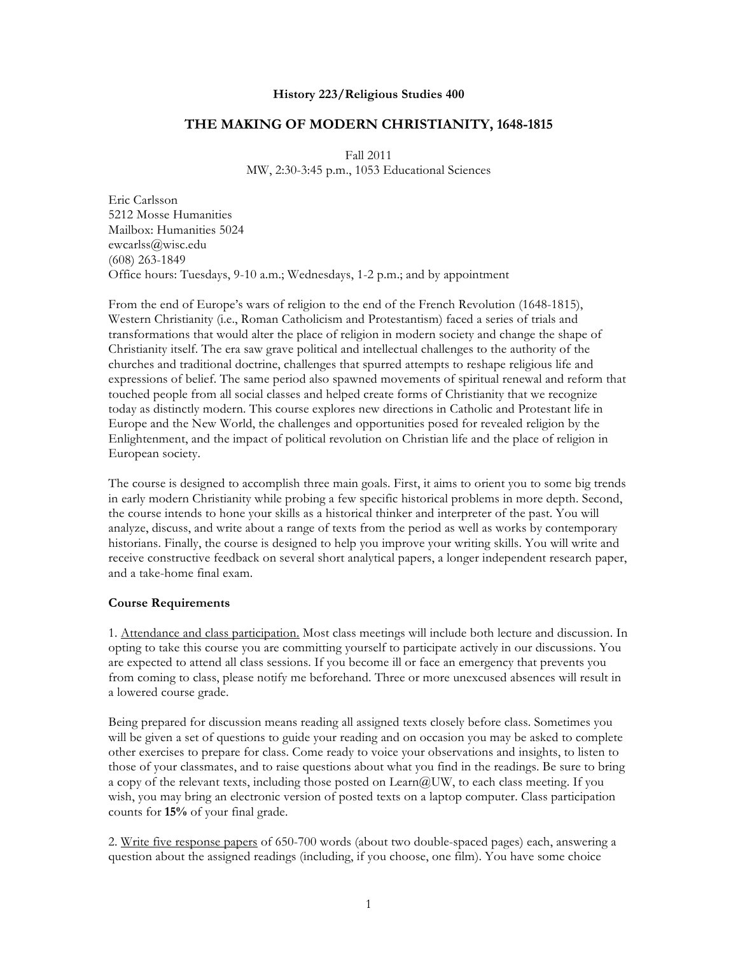#### **History 223/Religious Studies 400**

#### **THE MAKING OF MODERN CHRISTIANITY, 1648-1815**

Fall 2011 MW, 2:30-3:45 p.m., 1053 Educational Sciences

Eric Carlsson 5212 Mosse Humanities Mailbox: Humanities 5024 ewcarlss@wisc.edu (608) 263-1849 Office hours: Tuesdays, 9-10 a.m.; Wednesdays, 1-2 p.m.; and by appointment

From the end of Europe's wars of religion to the end of the French Revolution (1648-1815), Western Christianity (i.e., Roman Catholicism and Protestantism) faced a series of trials and transformations that would alter the place of religion in modern society and change the shape of Christianity itself. The era saw grave political and intellectual challenges to the authority of the churches and traditional doctrine, challenges that spurred attempts to reshape religious life and expressions of belief. The same period also spawned movements of spiritual renewal and reform that touched people from all social classes and helped create forms of Christianity that we recognize today as distinctly modern. This course explores new directions in Catholic and Protestant life in Europe and the New World, the challenges and opportunities posed for revealed religion by the Enlightenment, and the impact of political revolution on Christian life and the place of religion in European society.

The course is designed to accomplish three main goals. First, it aims to orient you to some big trends in early modern Christianity while probing a few specific historical problems in more depth. Second, the course intends to hone your skills as a historical thinker and interpreter of the past. You will analyze, discuss, and write about a range of texts from the period as well as works by contemporary historians. Finally, the course is designed to help you improve your writing skills. You will write and receive constructive feedback on several short analytical papers, a longer independent research paper, and a take-home final exam.

#### **Course Requirements**

1. Attendance and class participation. Most class meetings will include both lecture and discussion. In opting to take this course you are committing yourself to participate actively in our discussions. You are expected to attend all class sessions. If you become ill or face an emergency that prevents you from coming to class, please notify me beforehand. Three or more unexcused absences will result in a lowered course grade.

Being prepared for discussion means reading all assigned texts closely before class. Sometimes you will be given a set of questions to guide your reading and on occasion you may be asked to complete other exercises to prepare for class. Come ready to voice your observations and insights, to listen to those of your classmates, and to raise questions about what you find in the readings. Be sure to bring a copy of the relevant texts, including those posted on  $Learn@UW$ , to each class meeting. If you wish, you may bring an electronic version of posted texts on a laptop computer. Class participation counts for **15%** of your final grade.

2. Write five response papers of 650-700 words (about two double-spaced pages) each, answering a question about the assigned readings (including, if you choose, one film). You have some choice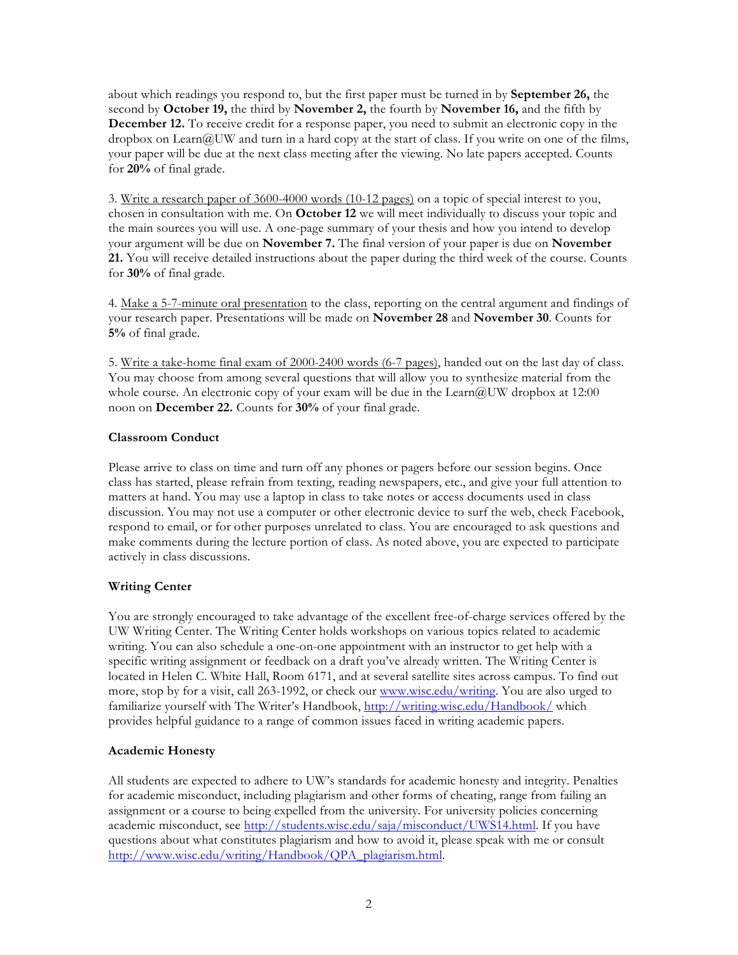about which readings you respond to, but the first paper must be turned in by **September 26,** the second by **October 19,** the third by **November 2,** the fourth by **November 16,** and the fifth by **December 12.** To receive credit for a response paper, you need to submit an electronic copy in the dropbox on Learn@UW and turn in a hard copy at the start of class. If you write on one of the films, your paper will be due at the next class meeting after the viewing. No late papers accepted. Counts for **20%** of final grade.

3. Write a research paper of 3600-4000 words (10-12 pages) on a topic of special interest to you, chosen in consultation with me. On **October 12** we will meet individually to discuss your topic and the main sources you will use. A one-page summary of your thesis and how you intend to develop your argument will be due on **November 7.** The final version of your paper is due on **November 21.** You will receive detailed instructions about the paper during the third week of the course. Counts for **30%** of final grade.

4. Make a 5-7-minute oral presentation to the class, reporting on the central argument and findings of your research paper. Presentations will be made on **November 28** and **November 30**. Counts for **5%** of final grade.

5. Write a take-home final exam of 2000-2400 words (6-7 pages), handed out on the last day of class. You may choose from among several questions that will allow you to synthesize material from the whole course. An electronic copy of your exam will be due in the Learn  $@UW$  dropbox at 12:00 noon on **December 22.** Counts for **30%** of your final grade.

## **Classroom Conduct**

Please arrive to class on time and turn off any phones or pagers before our session begins. Once class has started, please refrain from texting, reading newspapers, etc., and give your full attention to matters at hand. You may use a laptop in class to take notes or access documents used in class discussion. You may not use a computer or other electronic device to surf the web, check Facebook, respond to email, or for other purposes unrelated to class. You are encouraged to ask questions and make comments during the lecture portion of class. As noted above, you are expected to participate actively in class discussions.

## **Writing Center**

You are strongly encouraged to take advantage of the excellent free-of-charge services offered by the UW Writing Center. The Writing Center holds workshops on various topics related to academic writing. You can also schedule a one-on-one appointment with an instructor to get help with a specific writing assignment or feedback on a draft you've already written. The Writing Center is located in Helen C. White Hall, Room 6171, and at several satellite sites across campus. To find out more, stop by for a visit, call 263-1992, or check our www.wisc.edu/writing. You are also urged to familiarize yourself with The Writer's Handbook, http://writing.wisc.edu/Handbook/ which provides helpful guidance to a range of common issues faced in writing academic papers.

## **Academic Honesty**

All students are expected to adhere to UW's standards for academic honesty and integrity. Penalties for academic misconduct, including plagiarism and other forms of cheating, range from failing an assignment or a course to being expelled from the university. For university policies concerning academic misconduct, see http://students.wisc.edu/saja/misconduct/UWS14.html. If you have questions about what constitutes plagiarism and how to avoid it, please speak with me or consult http://www.wisc.edu/writing/Handbook/QPA\_plagiarism.html.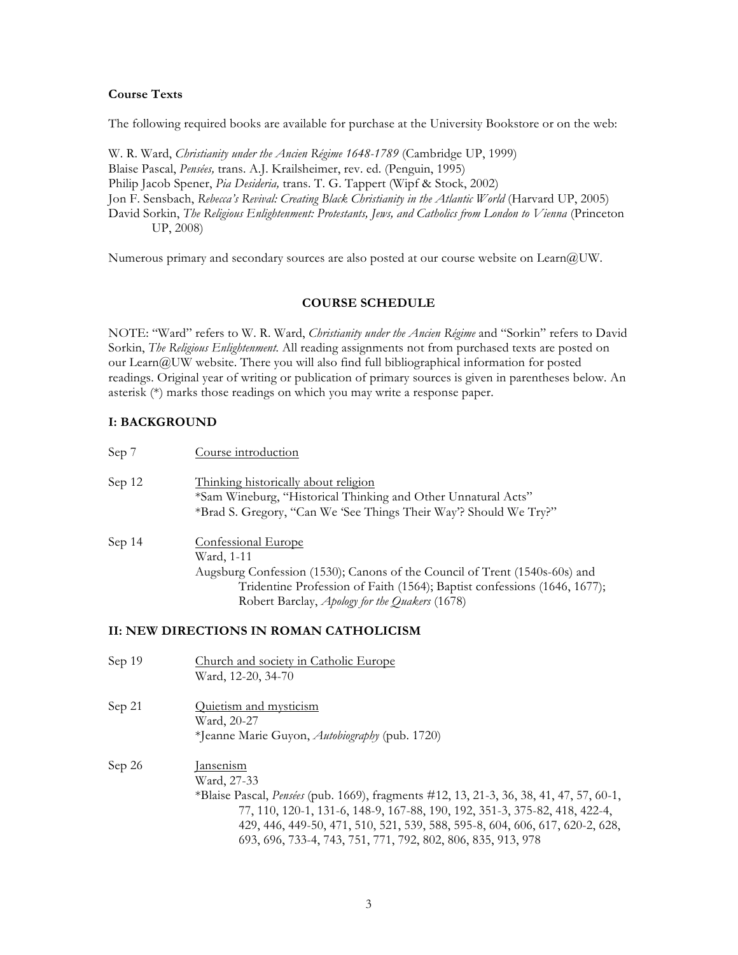## **Course Texts**

The following required books are available for purchase at the University Bookstore or on the web:

W. R. Ward, *Christianity under the Ancien Régime 1648-1789* (Cambridge UP, 1999) Blaise Pascal, *Pensées,* trans. A.J. Krailsheimer, rev. ed. (Penguin, 1995) Philip Jacob Spener, *Pia Desideria,* trans. T. G. Tappert (Wipf & Stock, 2002) Jon F. Sensbach, *Rebecca's Revival: Creating Black Christianity in the Atlantic World* (Harvard UP, 2005) David Sorkin, *The Religious Enlightenment: Protestants*, Jews, and Catholics from London to Vienna (Princeton UP, 2008)

Numerous primary and secondary sources are also posted at our course website on Learn@UW.

#### **COURSE SCHEDULE**

NOTE: "Ward" refers to W. R. Ward, *Christianity under the Ancien Régime* and "Sorkin" refers to David Sorkin, *The Religious Enlightenment.* All reading assignments not from purchased texts are posted on our Learn@UW website. There you will also find full bibliographical information for posted readings. Original year of writing or publication of primary sources is given in parentheses below. An asterisk (\*) marks those readings on which you may write a response paper.

#### **I: BACKGROUND**

| Sep 7  | Course introduction                                                                                                                                                                                                                                                                             |
|--------|-------------------------------------------------------------------------------------------------------------------------------------------------------------------------------------------------------------------------------------------------------------------------------------------------|
| Sep 12 | Thinking historically about religion<br>*Sam Wineburg, "Historical Thinking and Other Unnatural Acts"<br>*Brad S. Gregory, "Can We 'See Things Their Way'? Should We Try?"                                                                                                                      |
| Sep 14 | <b>Confessional Europe</b><br>Ward, 1-11<br>Augsburg Confession (1530); Canons of the Council of Trent (1540s-60s) and<br>Tridentine Profession of Faith (1564); Baptist confessions (1646, 1677);<br>Robert Barclay, Apology for the Quakers (1678)                                            |
|        | II: NEW DIRECTIONS IN ROMAN CATHOLICISM                                                                                                                                                                                                                                                         |
| Sep 19 | Church and society in Catholic Europe<br>Ward, 12-20, 34-70                                                                                                                                                                                                                                     |
| Sep 21 | Quietism and mysticism<br>Ward, 20-27<br>*Jeanne Marie Guyon, Autobiography (pub. 1720)                                                                                                                                                                                                         |
| Sep 26 | <u>Jansenism</u><br>Ward, 27-33<br>*Blaise Pascal, <i>Pensées</i> (pub. 1669), fragments #12, 13, 21-3, 36, 38, 41, 47, 57, 60-1,<br>77, 110, 120-1, 131-6, 148-9, 167-88, 190, 192, 351-3, 375-82, 418, 422-4,<br>429, 446, 449-50, 471, 510, 521, 539, 588, 595-8, 604, 606, 617, 620-2, 628, |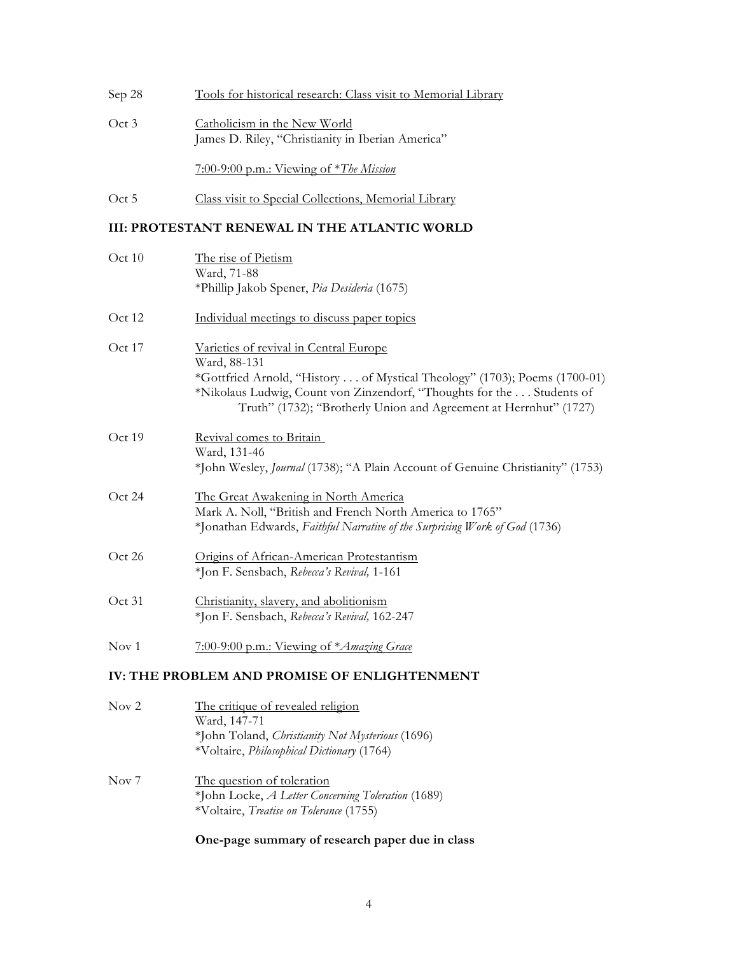| Sep 28 | Tools for historical research: Class visit to Memorial Library                    |
|--------|-----------------------------------------------------------------------------------|
| Oct 3  | Catholicism in the New World<br>James D. Riley, "Christianity in Iberian America" |
|        | 7:00-9:00 p.m.: Viewing of $*$ <i>The Mission</i>                                 |
| Oct 5  | Class visit to Special Collections, Memorial Library                              |

## **III: PROTESTANT RENEWAL IN THE ATLANTIC WORLD**

| Oct 10   | The rise of Pietism<br>Ward, 71-88                                                                                                                                                                                                                                                 |
|----------|------------------------------------------------------------------------------------------------------------------------------------------------------------------------------------------------------------------------------------------------------------------------------------|
|          | *Phillip Jakob Spener, Pia Desideria (1675)                                                                                                                                                                                                                                        |
| Oct 12   | Individual meetings to discuss paper topics                                                                                                                                                                                                                                        |
| Oct $17$ | Varieties of revival in Central Europe<br>Ward, 88-131<br>*Gottfried Arnold, "History  of Mystical Theology" (1703); Poems (1700-01)<br>*Nikolaus Ludwig, Count von Zinzendorf, "Thoughts for the Students of<br>Truth" (1732); "Brotherly Union and Agreement at Herrnhut" (1727) |
| Oct 19   | Revival comes to Britain<br>Ward, 131-46<br>*John Wesley, <i>Journal</i> (1738); "A Plain Account of Genuine Christianity" (1753)                                                                                                                                                  |
| Oct 24   | The Great Awakening in North America<br>Mark A. Noll, "British and French North America to 1765"<br>*Jonathan Edwards, Faithful Narrative of the Surprising Work of God (1736)                                                                                                     |
| Oct 26   | Origins of African-American Protestantism<br>*Jon F. Sensbach, Rebecca's Revival, 1-161                                                                                                                                                                                            |
| Oct 31   | Christianity, slavery, and abolitionism<br>*Jon F. Sensbach, Rebecca's Revival, 162-247                                                                                                                                                                                            |
| Nov 1    | 7:00-9:00 p.m.: Viewing of * Amazing Grace                                                                                                                                                                                                                                         |
|          | IV: THE PROBLEM AND PROMISE OF ENLIGHTENMENT                                                                                                                                                                                                                                       |
| Nov 2    | The critique of revealed religion                                                                                                                                                                                                                                                  |

| $\sqrt{2}$ | The entry of revealed reagant<br>Ward, 147-71<br>*John Toland, <i>Christianity Not Mysterious</i> (1696)<br>*Voltaire, Philosophical Dictionary (1764) |
|------------|--------------------------------------------------------------------------------------------------------------------------------------------------------|
| Nov 7      | The question of toleration<br>*John Locke, A Letter Concerning Toleration (1689)<br>*Voltaire, Treatise on Tolerance (1755)                            |

# **One-page summary of research paper due in class**